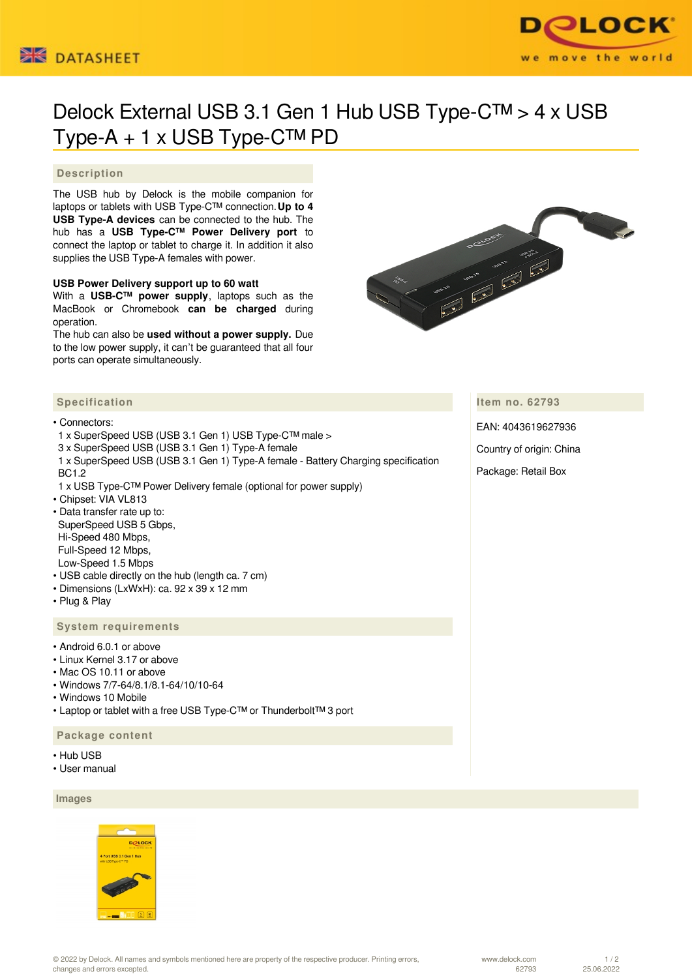



# Delock External USB 3.1 Gen 1 Hub USB Type-C™ > 4 x USB Type-A + 1 x USB Type-C™ PD

## **Description**

The USB hub by Delock is the mobile companion for laptops or tablets with USB Type-C™ connection.**Up to 4 USB Type-A devices** can be connected to the hub. The hub has a **USB Type-C™ Power Delivery port** to connect the laptop or tablet to charge it. In addition it also supplies the USB Type-A females with power.

## **USB Power Delivery support up to 60 watt**

With a **USB-C™ power supply**, laptops such as the MacBook or Chromebook **can be charged** during operation.

The hub can also be **used without a power supply.** Due to the low power supply, it can't be guaranteed that all four ports can operate simultaneously.



## **Specification**

#### • Connectors:

- 1 x SuperSpeed USB (USB 3.1 Gen 1) USB Type-C™ male >
- 3 x SuperSpeed USB (USB 3.1 Gen 1) Type-A female
- 1 x SuperSpeed USB (USB 3.1 Gen 1) Type-A female Battery Charging specification BC1.2
- 1 x USB Type-C™ Power Delivery female (optional for power supply)
- Chipset: VIA VL813
- Data transfer rate up to: SuperSpeed USB 5 Gbps, Hi-Speed 480 Mbps, Full-Speed 12 Mbps, Low-Speed 1.5 Mbps
- USB cable directly on the hub (length ca. 7 cm)
- Dimensions (LxWxH): ca. 92 x 39 x 12 mm
- Plug & Play

#### **System requirements**

- Android 6.0.1 or above
- Linux Kernel 3.17 or above
- Mac OS 10.11 or above
- Windows 7/7-64/8.1/8.1-64/10/10-64
- Windows 10 Mobile
- Laptop or tablet with a free USB Type-C™ or Thunderbolt™ 3 port

#### **Package content**

- Hub USB
- User manual

### **Images**



© 2022 by Delock. All names and symbols mentioned here are property of the respective producer. Printing errors, changes and errors excepted.

www.delock.com 62793

**Item no. 62793**

EAN: 4043619627936

Country of origin: China

Package: Retail Box